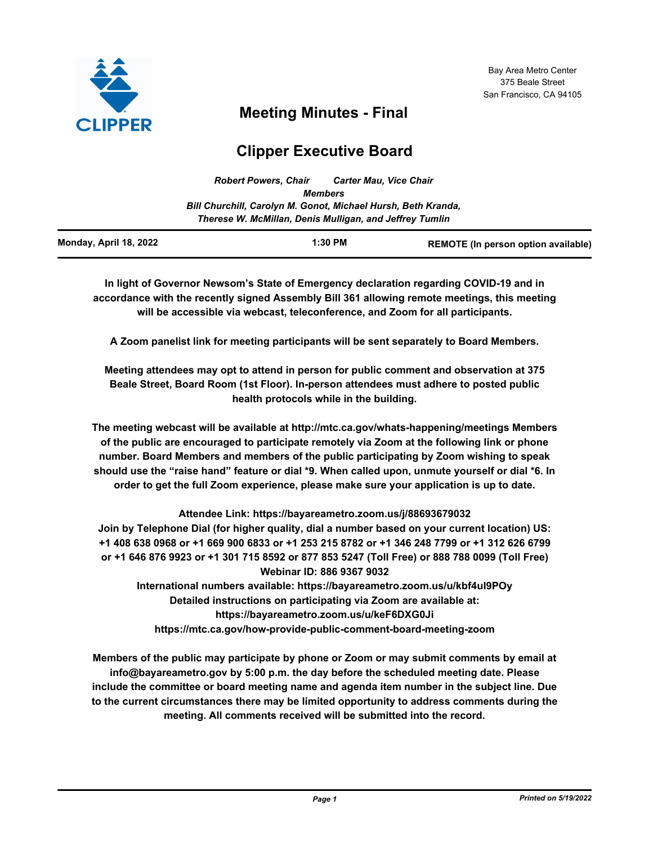

# **Meeting Minutes - Final**

# **Clipper Executive Board**

| <b>Robert Powers, Chair</b>                                   | <b>Carter Mau, Vice Chair</b> |
|---------------------------------------------------------------|-------------------------------|
| <b>Members</b>                                                |                               |
| Bill Churchill, Carolyn M. Gonot, Michael Hursh, Beth Kranda, |                               |
| Therese W. McMillan, Denis Mulligan, and Jeffrey Tumlin       |                               |
|                                                               |                               |

| Monday, April 18, 2022<br>1:30 PM<br><b>REMOTE (In person option available)</b> |
|---------------------------------------------------------------------------------|
|---------------------------------------------------------------------------------|

**In light of Governor Newsom's State of Emergency declaration regarding COVID-19 and in accordance with the recently signed Assembly Bill 361 allowing remote meetings, this meeting will be accessible via webcast, teleconference, and Zoom for all participants.** 

**A Zoom panelist link for meeting participants will be sent separately to Board Members.**

**Meeting attendees may opt to attend in person for public comment and observation at 375 Beale Street, Board Room (1st Floor). In-person attendees must adhere to posted public health protocols while in the building.**

**The meeting webcast will be available at http://mtc.ca.gov/whats-happening/meetings Members of the public are encouraged to participate remotely via Zoom at the following link or phone number. Board Members and members of the public participating by Zoom wishing to speak should use the "raise hand" feature or dial \*9. When called upon, unmute yourself or dial \*6. In order to get the full Zoom experience, please make sure your application is up to date.**

**Attendee Link: https://bayareametro.zoom.us/j/88693679032**

**Join by Telephone Dial (for higher quality, dial a number based on your current location) US: +1 408 638 0968 or +1 669 900 6833 or +1 253 215 8782 or +1 346 248 7799 or +1 312 626 6799 or +1 646 876 9923 or +1 301 715 8592 or 877 853 5247 (Toll Free) or 888 788 0099 (Toll Free) Webinar ID: 886 9367 9032**

**International numbers available: https://bayareametro.zoom.us/u/kbf4uI9POy Detailed instructions on participating via Zoom are available at: https://bayareametro.zoom.us/u/keF6DXG0Ji https://mtc.ca.gov/how-provide-public-comment-board-meeting-zoom**

**Members of the public may participate by phone or Zoom or may submit comments by email at info@bayareametro.gov by 5:00 p.m. the day before the scheduled meeting date. Please include the committee or board meeting name and agenda item number in the subject line. Due to the current circumstances there may be limited opportunity to address comments during the meeting. All comments received will be submitted into the record.**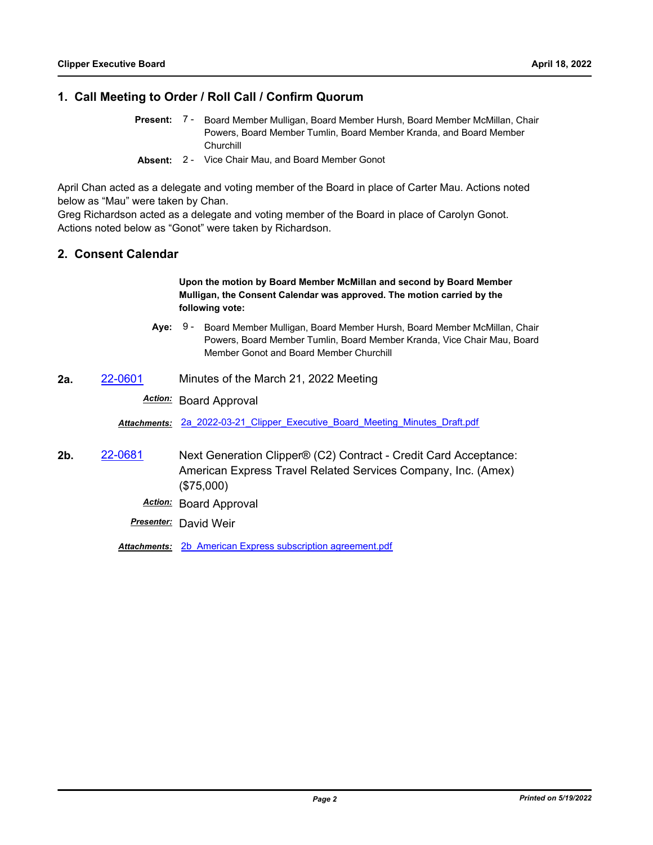### **1. Call Meeting to Order / Roll Call / Confirm Quorum**

- Present: 7 Board Member Mulligan, Board Member Hursh, Board Member McMillan, Chair Powers, Board Member Tumlin, Board Member Kranda, and Board Member **Churchill**
- **Absent:** 2 Vice Chair Mau, and Board Member Gonot

April Chan acted as a delegate and voting member of the Board in place of Carter Mau. Actions noted below as "Mau" were taken by Chan.

Greg Richardson acted as a delegate and voting member of the Board in place of Carolyn Gonot. Actions noted below as "Gonot" were taken by Richardson.

#### **2. Consent Calendar**

#### **Upon the motion by Board Member McMillan and second by Board Member Mulligan, the Consent Calendar was approved. The motion carried by the following vote:**

- **Aye:** Board Member Mulligan, Board Member Hursh, Board Member McMillan, Chair Powers, Board Member Tumlin, Board Member Kranda, Vice Chair Mau, Board Member Gonot and Board Member Churchill Aye: 9 -
- **2a.** [22-0601](http://mtc.legistar.com/gateway.aspx?m=l&id=/matter.aspx?key=23860) Minutes of the March 21, 2022 Meeting

#### *Action:* Board Approval

*Attachments:* [2a\\_2022-03-21\\_Clipper\\_Executive\\_Board\\_Meeting\\_Minutes\\_Draft.pdf](http://mtc.legistar.com/gateway.aspx?M=F&ID=e0bd9098-7edb-4d8f-b17a-d1fd05b457a4.pdf)

- **2b.** [22-0681](http://mtc.legistar.com/gateway.aspx?m=l&id=/matter.aspx?key=23940) Next Generation Clipper® (C2) Contract Credit Card Acceptance: American Express Travel Related Services Company, Inc. (Amex) (\$75,000)
	- *Action:* Board Approval

*Presenter:* David Weir

Attachments: 2b American Express subscription agreement.pdf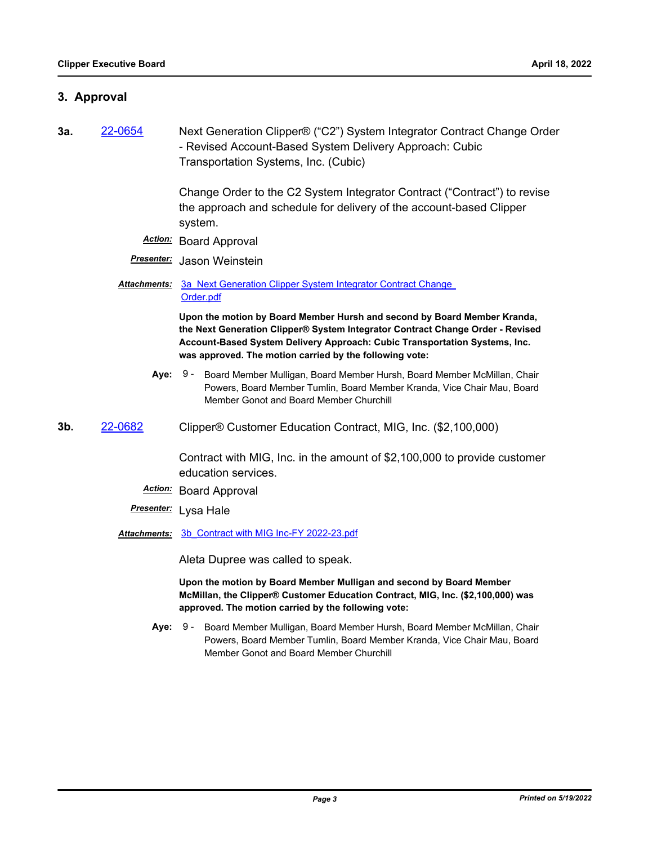### **3. Approval**

**3a.** [22-0654](http://mtc.legistar.com/gateway.aspx?m=l&id=/matter.aspx?key=23913) Next Generation Clipper® ("C2") System Integrator Contract Change Order - Revised Account-Based System Delivery Approach: Cubic Transportation Systems, Inc. (Cubic)

> Change Order to the C2 System Integrator Contract ("Contract") to revise the approach and schedule for delivery of the account-based Clipper system.

- *Action:* Board Approval
- *Presenter:* Jason Weinstein
- Attachments: 3a Next Generation Clipper System Integrator Contract Change Order.pdf

**Upon the motion by Board Member Hursh and second by Board Member Kranda, the Next Generation Clipper® System Integrator Contract Change Order - Revised Account-Based System Delivery Approach: Cubic Transportation Systems, Inc. was approved. The motion carried by the following vote:**

- **Aye:** Board Member Mulligan, Board Member Hursh, Board Member McMillan, Chair Powers, Board Member Tumlin, Board Member Kranda, Vice Chair Mau, Board Member Gonot and Board Member Churchill Aye: 9 -
- **3b.** [22-0682](http://mtc.legistar.com/gateway.aspx?m=l&id=/matter.aspx?key=23941) Clipper® Customer Education Contract, MIG, Inc. (\$2,100,000)

Contract with MIG, Inc. in the amount of \$2,100,000 to provide customer education services.

- *Action:* Board Approval
- *Presenter:* Lysa Hale
- *Attachments:* [3b\\_Contract with MIG Inc-FY 2022-23.pdf](http://mtc.legistar.com/gateway.aspx?M=F&ID=005930ed-fe41-4a82-8b5b-03254510e266.pdf)

Aleta Dupree was called to speak.

**Upon the motion by Board Member Mulligan and second by Board Member McMillan, the Clipper® Customer Education Contract, MIG, Inc. (\$2,100,000) was approved. The motion carried by the following vote:**

**Aye:** Board Member Mulligan, Board Member Hursh, Board Member McMillan, Chair Powers, Board Member Tumlin, Board Member Kranda, Vice Chair Mau, Board Member Gonot and Board Member Churchill Aye: 9 -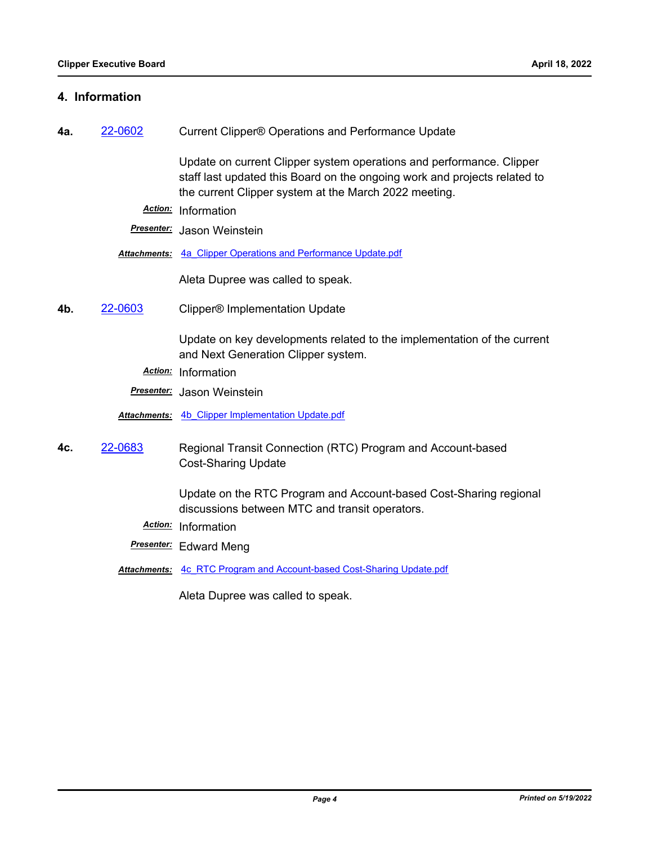### **4. Information**

**4a.** [22-0602](http://mtc.legistar.com/gateway.aspx?m=l&id=/matter.aspx?key=23861) Current Clipper® Operations and Performance Update

Update on current Clipper system operations and performance. Clipper staff last updated this Board on the ongoing work and projects related to the current Clipper system at the March 2022 meeting.

*Action:* Information

*Presenter:* Jason Weinstein

*Attachments:* [4a\\_Clipper Operations and Performance Update.pdf](http://mtc.legistar.com/gateway.aspx?M=F&ID=c5bb725c-981b-461d-a527-c3cb52ca4991.pdf)

Aleta Dupree was called to speak.

**4b.** [22-0603](http://mtc.legistar.com/gateway.aspx?m=l&id=/matter.aspx?key=23862) Clipper® Implementation Update

Update on key developments related to the implementation of the current and Next Generation Clipper system.

*Action:* Information

*Presenter:* Jason Weinstein

*Attachments:* [4b\\_Clipper Implementation Update.pdf](http://mtc.legistar.com/gateway.aspx?M=F&ID=45b8ecad-f38d-46c5-87f3-34483fedf318.pdf)

**4c.** [22-0683](http://mtc.legistar.com/gateway.aspx?m=l&id=/matter.aspx?key=23942) Regional Transit Connection (RTC) Program and Account-based Cost-Sharing Update

> Update on the RTC Program and Account-based Cost-Sharing regional discussions between MTC and transit operators.

- *Action:* Information
- *Presenter:* Edward Meng
- *Attachments:* [4c\\_RTC Program and Account-based Cost-Sharing Update.pdf](http://mtc.legistar.com/gateway.aspx?M=F&ID=d94400cc-2773-4d8c-9bad-53f5933095fc.pdf)

Aleta Dupree was called to speak.